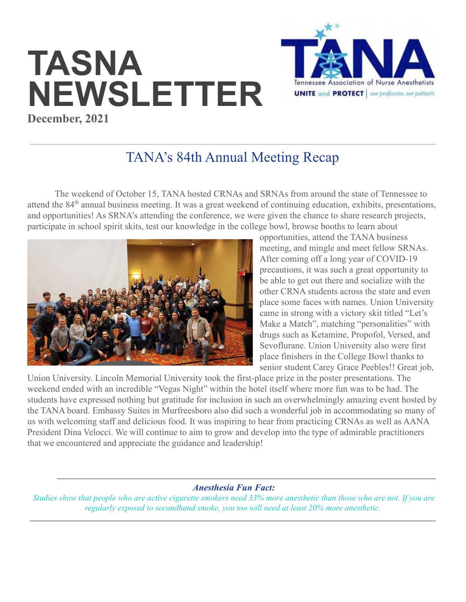# **TASNA NEWSLETTER December, 2021**



# TANA's 84th Annual Meeting Recap

The weekend of October 15, TANA hosted CRNAs and SRNAs from around the state of Tennessee to attend the 84<sup>th</sup> annual business meeting. It was a great weekend of continuing education, exhibits, presentations, and opportunities! As SRNA's attending the conference, we were given the chance to share research projects, participate in school spirit skits, test our knowledge in the college bowl, browse booths to learn about



opportunities, attend the TANA business meeting, and mingle and meet fellow SRNAs. After coming off a long year of COVID-19 precautions, it was such a great opportunity to be able to get out there and socialize with the other CRNA students across the state and even place some faces with names. Union University came in strong with a victory skit titled "Let's Make a Match", matching "personalities" with drugs such as Ketamine, Propofol, Versed, and Sevoflurane. Union University also were first place finishers in the College Bowl thanks to senior student Carey Grace Peebles!! Great job,

Union University. Lincoln Memorial University took the first-place prize in the poster presentations. The weekend ended with an incredible "Vegas Night" within the hotel itself where more fun was to be had. The students have expressed nothing but gratitude for inclusion in such an overwhelmingly amazing event hosted by the TANA board. Embassy Suites in Murfreesboro also did such a wonderful job in accommodating so many of us with welcoming staff and delicious food. It was inspiring to hear from practicing CRNAs as well as AANA President Dina Velocci. We will continue to aim to grow and develop into the type of admirable practitioners that we encountered and appreciate the guidance and leadership!

*Anesthesia Fun Fact:*

*Studies show that people who are active cigarette smokers need 33% more anesthetic than those who are not. If you are regularly exposed to secondhand smoke, you too will need at least 20% more anesthetic.*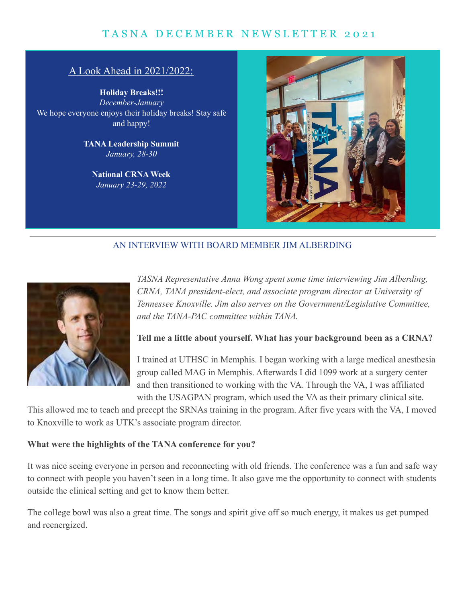## TASNA DECEMBER NEWSLETTER 2021

#### A Look Ahead in 2021/2022:

**Holiday Breaks!!!** *December-January* We hope everyone enjoys their holiday breaks! Stay safe and happy!

> **TANA Leadership Summit** *January, 28-30*

**National CRNA Week** *January 23-29, 2022*



#### AN INTERVIEW WITH BOARD MEMBER JIM ALBERDING



*TASNA Representative Anna Wong spent some time interviewing Jim Alberding, CRNA, TANA president-elect, and associate program director at University of Tennessee Knoxville. Jim also serves on the Government/Legislative Committee, and the TANA-PAC committee within TANA.*

#### **Tell me a little about yourself. What has your background been as a CRNA?**

I trained at UTHSC in Memphis. I began working with a large medical anesthesia group called MAG in Memphis. Afterwards I did 1099 work at a surgery center and then transitioned to working with the VA. Through the VA, I was affiliated with the USAGPAN program, which used the VA as their primary clinical site.

This allowed me to teach and precept the SRNAs training in the program. After five years with the VA, I moved to Knoxville to work as UTK's associate program director.

#### **What were the highlights of the TANA conference for you?**

It was nice seeing everyone in person and reconnecting with old friends. The conference was a fun and safe way to connect with people you haven't seen in a long time. It also gave me the opportunity to connect with students outside the clinical setting and get to know them better.

The college bowl was also a great time. The songs and spirit give off so much energy, it makes us get pumped and reenergized.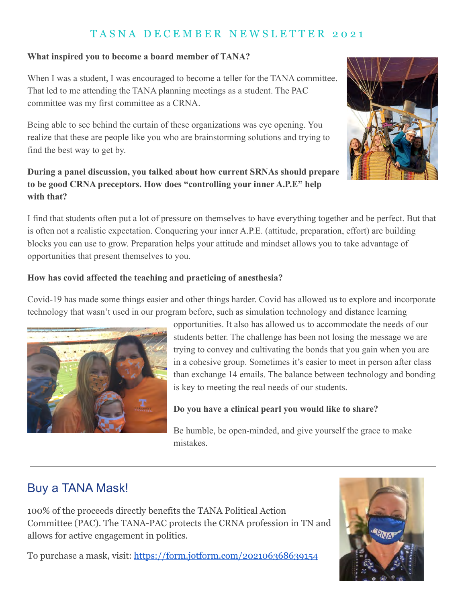## T A S N A D E C E M B E R N E W S L E T T E R 2 0 2 1

#### **What inspired you to become a board member of TANA?**

When I was a student, I was encouraged to become a teller for the TANA committee. That led to me attending the TANA planning meetings as a student. The PAC committee was my first committee as a CRNA.

Being able to see behind the curtain of these organizations was eye opening. You realize that these are people like you who are brainstorming solutions and trying to find the best way to get by.

#### **During a panel discussion, you talked about how current SRNAs should prepare to be good CRNA preceptors. How does "controlling your inner A.P.E" help with that?**



I find that students often put a lot of pressure on themselves to have everything together and be perfect. But that is often not a realistic expectation. Conquering your inner A.P.E. (attitude, preparation, effort) are building blocks you can use to grow. Preparation helps your attitude and mindset allows you to take advantage of opportunities that present themselves to you.

#### **How has covid affected the teaching and practicing of anesthesia?**

Covid-19 has made some things easier and other things harder. Covid has allowed us to explore and incorporate technology that wasn't used in our program before, such as simulation technology and distance learning



opportunities. It also has allowed us to accommodate the needs of our students better. The challenge has been not losing the message we are trying to convey and cultivating the bonds that you gain when you are in a cohesive group. Sometimes it's easier to meet in person after class than exchange 14 emails. The balance between technology and bonding is key to meeting the real needs of our students.

#### **Do you have a clinical pearl you would like to share?**

Be humble, be open-minded, and give yourself the grace to make mistakes.

# Buy a TANA Mask!

100% of the proceeds directly benefits the TANA Political Action Committee (PAC). The TANA-PAC protects the CRNA profession in TN and allows for active engagement in politics.

To purchase a mask, visit: <https://form.jotform.com/202106368639154>

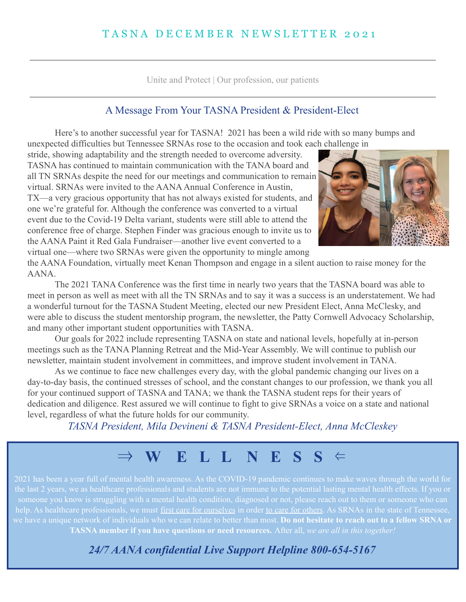Unite and Protect | Our profession, our patients

#### A Message From Your TASNA President & President-Elect

Here's to another successful year for TASNA! 2021 has been a wild ride with so many bumps and unexpected difficulties but Tennessee SRNAs rose to the occasion and took each challenge in

stride, showing adaptability and the strength needed to overcome adversity. TASNA has continued to maintain communication with the TANA board and all TN SRNAs despite the need for our meetings and communication to remain virtual. SRNAs were invited to the AANA Annual Conference in Austin, TX—a very gracious opportunity that has not always existed for students, and one we're grateful for. Although the conference was converted to a virtual event due to the Covid-19 Delta variant, students were still able to attend the conference free of charge. Stephen Finder was gracious enough to invite us to the AANA Paint it Red Gala Fundraiser—another live event converted to a virtual one—where two SRNAs were given the opportunity to mingle among



the AANA Foundation, virtually meet Kenan Thompson and engage in a silent auction to raise money for the AANA.

The 2021 TANA Conference was the first time in nearly two years that the TASNA board was able to meet in person as well as meet with all the TN SRNAs and to say it was a success is an understatement. We had a wonderful turnout for the TASNA Student Meeting, elected our new President Elect, Anna McClesky, and were able to discuss the student mentorship program, the newsletter, the Patty Cornwell Advocacy Scholarship, and many other important student opportunities with TASNA.

Our goals for 2022 include representing TASNA on state and national levels, hopefully at in-person meetings such as the TANA Planning Retreat and the Mid-Year Assembly. We will continue to publish our newsletter, maintain student involvement in committees, and improve student involvement in TANA.

As we continue to face new challenges every day, with the global pandemic changing our lives on a day-to-day basis, the continued stresses of school, and the constant changes to our profession, we thank you all for your continued support of TASNA and TANA; we thank the TASNA student reps for their years of dedication and diligence. Rest assured we will continue to fight to give SRNAs a voice on a state and national level, regardless of what the future holds for our community.

*TASNA President, Mila Devineni & TASNA President-Elect, Anna McCleskey*

⇒ **W E L L N E S S** ⇐

someone you know is struggling with a mental health condition, diagnosed or not, please reach out to them or someone who can help. As healthcare professionals, we must first care for ourselves in order to care for others. As SRNAs in the state of Tennessee, we have a unique network of individuals who we can relate to better than most. **Do not hesitate to reach out to a fellow SRNA or TASNA member if you have questions or need resources.** After all, *we are all in this together!*

*24/7 AANA confidential Live Support Helpline 800-654-5167*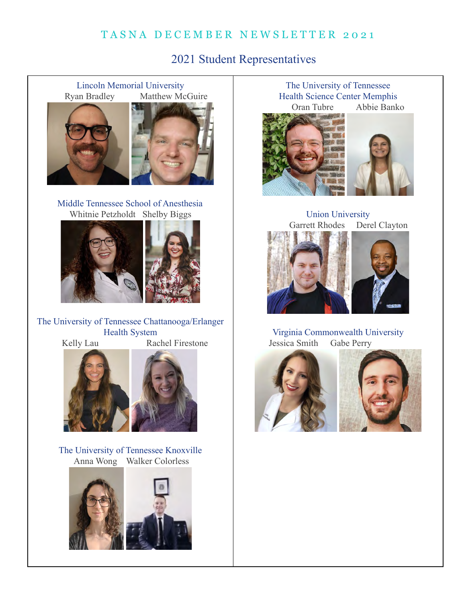## TASNA DECEMBER NEWSLETTER 2021

2021 Student Representatives

Lincoln Memorial University Ryan Bradley Matthew McGuire





Middle Tennessee School of Anesthesia Whitnie Petzholdt Shelby Biggs



The University of Tennessee Chattanooga/Erlanger Health System Kelly Lau Rachel Firestone



The University of Tennessee Knoxville Anna Wong Walker Colorless



The University of Tennessee Health Science Center Memphis Oran Tubre Abbie Banko



Union University Garrett Rhodes Derel Clayton



Virginia Commonwealth University Jessica Smith Gabe Perry